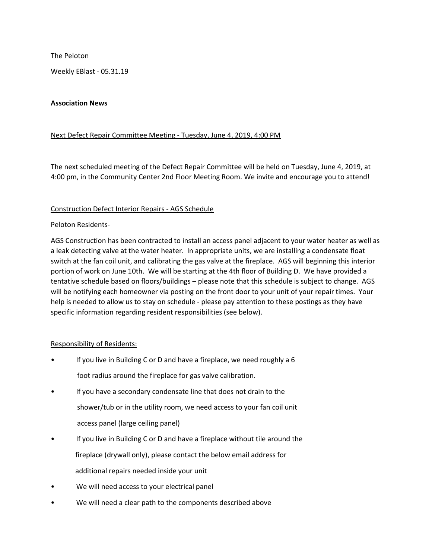The Peloton

Weekly EBlast - 05.31.19

### Association News

## Next Defect Repair Committee Meeting - Tuesday, June 4, 2019, 4:00 PM

The next scheduled meeting of the Defect Repair Committee will be held on Tuesday, June 4, 2019, at 4:00 pm, in the Community Center 2nd Floor Meeting Room. We invite and encourage you to attend!

### Construction Defect Interior Repairs - AGS Schedule

### Peloton Residents-

AGS Construction has been contracted to install an access panel adjacent to your water heater as well as a leak detecting valve at the water heater. In appropriate units, we are installing a condensate float switch at the fan coil unit, and calibrating the gas valve at the fireplace. AGS will beginning this interior portion of work on June 10th. We will be starting at the 4th floor of Building D. We have provided a tentative schedule based on floors/buildings – please note that this schedule is subject to change. AGS will be notifying each homeowner via posting on the front door to your unit of your repair times. Your help is needed to allow us to stay on schedule - please pay attention to these postings as they have specific information regarding resident responsibilities (see below).

# Responsibility of Residents:

- If you live in Building C or D and have a fireplace, we need roughly a 6 foot radius around the fireplace for gas valve calibration.
- If you have a secondary condensate line that does not drain to the shower/tub or in the utility room, we need access to your fan coil unit access panel (large ceiling panel)
- If you live in Building C or D and have a fireplace without tile around the fireplace (drywall only), please contact the below email address for additional repairs needed inside your unit
- We will need access to your electrical panel
- We will need a clear path to the components described above